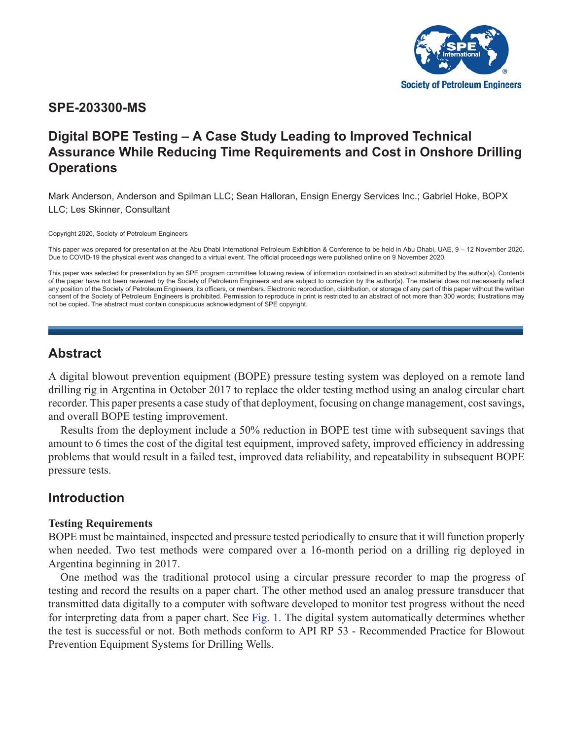

## **SPE-203300-MS**

# **Digital BOPE Testing – A Case Study Leading to Improved Technical Assurance While Reducing Time Requirements and Cost in Onshore Drilling Operations**

Mark Anderson, Anderson and Spilman LLC; Sean Halloran, Ensign Energy Services Inc.; Gabriel Hoke, BOPX LLC; Les Skinner, Consultant

Copyright 2020, Society of Petroleum Engineers

This paper was prepared for presentation at the Abu Dhabi International Petroleum Exhibition & Conference to be held in Abu Dhabi, UAE, 9 – 12 November 2020. Due to COVID-19 the physical event was changed to a virtual event. The official proceedings were published online on 9 November 2020.

This paper was selected for presentation by an SPE program committee following review of information contained in an abstract submitted by the author(s). Contents of the paper have not been reviewed by the Society of Petroleum Engineers and are subject to correction by the author(s). The material does not necessarily reflect any position of the Society of Petroleum Engineers, its officers, or members. Electronic reproduction, distribution, or storage of any part of this paper without the written consent of the Society of Petroleum Engineers is prohibited. Permission to reproduce in print is restricted to an abstract of not more than 300 words; illustrations may not be copied. The abstract must contain conspicuous acknowledgment of SPE copyright.

## **Abstract**

A digital blowout prevention equipment (BOPE) pressure testing system was deployed on a remote land drilling rig in Argentina in October 2017 to replace the older testing method using an analog circular chart recorder. This paper presents a case study of that deployment, focusing on change management, cost savings, and overall BOPE testing improvement.

Results from the deployment include a 50% reduction in BOPE test time with subsequent savings that amount to 6 times the cost of the digital test equipment, improved safety, improved efficiency in addressing problems that would result in a failed test, improved data reliability, and repeatability in subsequent BOPE pressure tests.

# **Introduction**

## **Testing Requirements**

BOPE must be maintained, inspected and pressure tested periodically to ensure that it will function properly when needed. Two test methods were compared over a 16-month period on a drilling rig deployed in Argentina beginning in 2017.

One method was the traditional protocol using a circular pressure recorder to map the progress of testing and record the results on a paper chart. The other method used an analog pressure transducer that transmitted data digitally to a computer with software developed to monitor test progress without the need for interpreting data from a paper chart. See [Fig. 1](#page-1-0). The digital system automatically determines whether the test is successful or not. Both methods conform to API RP 53 - Recommended Practice for Blowout Prevention Equipment Systems for Drilling Wells.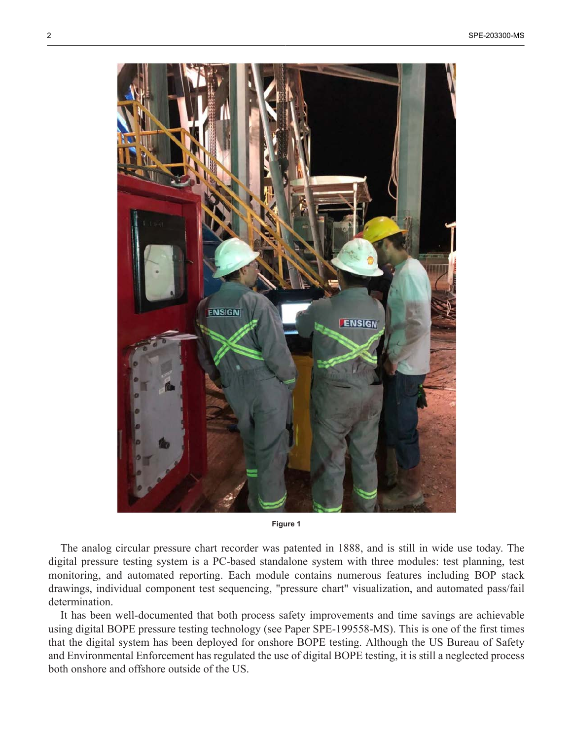<span id="page-1-0"></span>

**Figure 1**

The analog circular pressure chart recorder was patented in 1888, and is still in wide use today. The digital pressure testing system is a PC-based standalone system with three modules: test planning, test monitoring, and automated reporting. Each module contains numerous features including BOP stack drawings, individual component test sequencing, "pressure chart" visualization, and automated pass/fail determination.

It has been well-documented that both process safety improvements and time savings are achievable using digital BOPE pressure testing technology (see Paper SPE-199558-MS). This is one of the first times that the digital system has been deployed for onshore BOPE testing. Although the US Bureau of Safety and Environmental Enforcement has regulated the use of digital BOPE testing, it is still a neglected process both onshore and offshore outside of the US.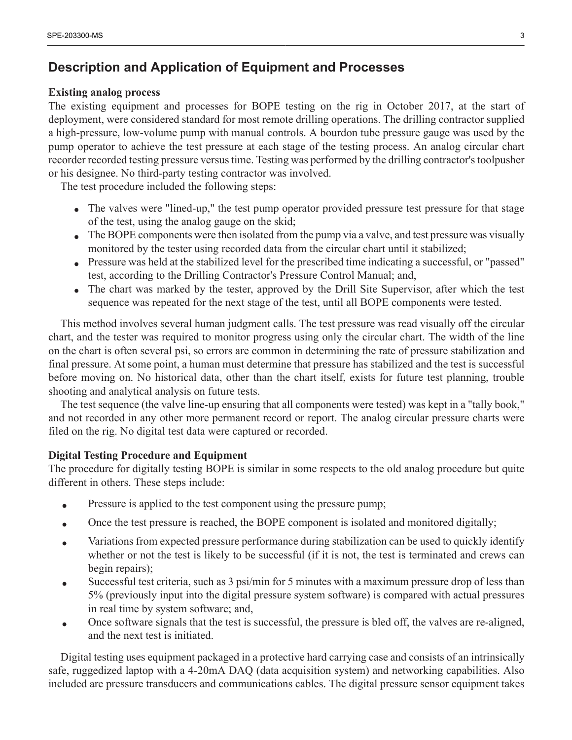## **Description and Application of Equipment and Processes**

### **Existing analog process**

The existing equipment and processes for BOPE testing on the rig in October 2017, at the start of deployment, were considered standard for most remote drilling operations. The drilling contractor supplied a high-pressure, low-volume pump with manual controls. A bourdon tube pressure gauge was used by the pump operator to achieve the test pressure at each stage of the testing process. An analog circular chart recorder recorded testing pressure versus time. Testing was performed by the drilling contractor's toolpusher or his designee. No third-party testing contractor was involved.

The test procedure included the following steps:

- The valves were "lined-up," the test pump operator provided pressure test pressure for that stage of the test, using the analog gauge on the skid;
- The BOPE components were then isolated from the pump via a valve, and test pressure was visually monitored by the tester using recorded data from the circular chart until it stabilized;
- Pressure was held at the stabilized level for the prescribed time indicating a successful, or "passed" test, according to the Drilling Contractor's Pressure Control Manual; and,
- The chart was marked by the tester, approved by the Drill Site Supervisor, after which the test sequence was repeated for the next stage of the test, until all BOPE components were tested.

This method involves several human judgment calls. The test pressure was read visually off the circular chart, and the tester was required to monitor progress using only the circular chart. The width of the line on the chart is often several psi, so errors are common in determining the rate of pressure stabilization and final pressure. At some point, a human must determine that pressure has stabilized and the test is successful before moving on. No historical data, other than the chart itself, exists for future test planning, trouble shooting and analytical analysis on future tests.

The test sequence (the valve line-up ensuring that all components were tested) was kept in a "tally book," and not recorded in any other more permanent record or report. The analog circular pressure charts were filed on the rig. No digital test data were captured or recorded.

## **Digital Testing Procedure and Equipment**

The procedure for digitally testing BOPE is similar in some respects to the old analog procedure but quite different in others. These steps include:

- Pressure is applied to the test component using the pressure pump;
- Once the test pressure is reached, the BOPE component is isolated and monitored digitally;
- Variations from expected pressure performance during stabilization can be used to quickly identify whether or not the test is likely to be successful (if it is not, the test is terminated and crews can begin repairs);
- Successful test criteria, such as 3 psi/min for 5 minutes with a maximum pressure drop of less than 5% (previously input into the digital pressure system software) is compared with actual pressures in real time by system software; and,
- Once software signals that the test is successful, the pressure is bled off, the valves are re-aligned, and the next test is initiated.

Digital testing uses equipment packaged in a protective hard carrying case and consists of an intrinsically safe, ruggedized laptop with a 4-20mA DAQ (data acquisition system) and networking capabilities. Also included are pressure transducers and communications cables. The digital pressure sensor equipment takes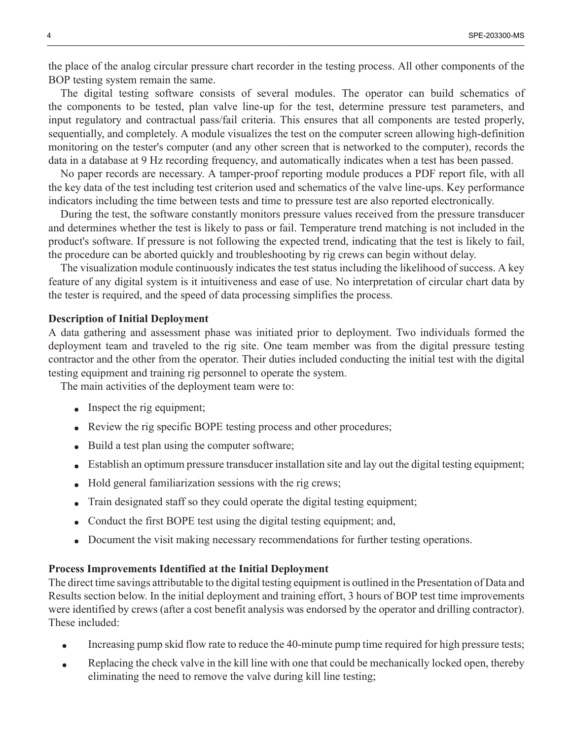the place of the analog circular pressure chart recorder in the testing process. All other components of the BOP testing system remain the same.

The digital testing software consists of several modules. The operator can build schematics of the components to be tested, plan valve line-up for the test, determine pressure test parameters, and input regulatory and contractual pass/fail criteria. This ensures that all components are tested properly, sequentially, and completely. A module visualizes the test on the computer screen allowing high-definition monitoring on the tester's computer (and any other screen that is networked to the computer), records the data in a database at 9 Hz recording frequency, and automatically indicates when a test has been passed.

No paper records are necessary. A tamper-proof reporting module produces a PDF report file, with all the key data of the test including test criterion used and schematics of the valve line-ups. Key performance indicators including the time between tests and time to pressure test are also reported electronically.

During the test, the software constantly monitors pressure values received from the pressure transducer and determines whether the test is likely to pass or fail. Temperature trend matching is not included in the product's software. If pressure is not following the expected trend, indicating that the test is likely to fail, the procedure can be aborted quickly and troubleshooting by rig crews can begin without delay.

The visualization module continuously indicates the test status including the likelihood of success. A key feature of any digital system is it intuitiveness and ease of use. No interpretation of circular chart data by the tester is required, and the speed of data processing simplifies the process.

#### **Description of Initial Deployment**

A data gathering and assessment phase was initiated prior to deployment. Two individuals formed the deployment team and traveled to the rig site. One team member was from the digital pressure testing contractor and the other from the operator. Their duties included conducting the initial test with the digital testing equipment and training rig personnel to operate the system.

The main activities of the deployment team were to:

- Inspect the rig equipment;
- Review the rig specific BOPE testing process and other procedures;
- Build a test plan using the computer software;
- Establish an optimum pressure transducer installation site and lay out the digital testing equipment;
- Hold general familiarization sessions with the rig crews;
- Train designated staff so they could operate the digital testing equipment;
- Conduct the first BOPE test using the digital testing equipment; and,
- Document the visit making necessary recommendations for further testing operations.

#### **Process Improvements Identified at the Initial Deployment**

The direct time savings attributable to the digital testing equipment is outlined in the Presentation of Data and Results section below. In the initial deployment and training effort, 3 hours of BOP test time improvements were identified by crews (after a cost benefit analysis was endorsed by the operator and drilling contractor). These included:

- Increasing pump skid flow rate to reduce the 40-minute pump time required for high pressure tests;
- Replacing the check valve in the kill line with one that could be mechanically locked open, thereby eliminating the need to remove the valve during kill line testing;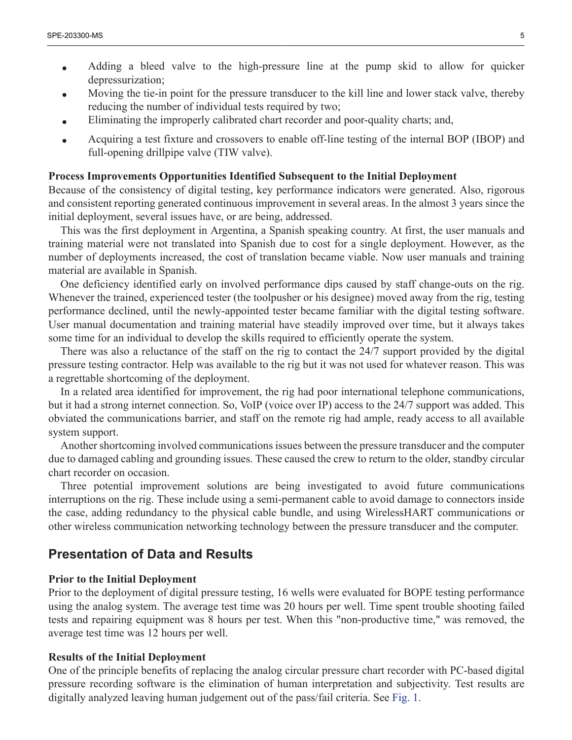- Adding a bleed valve to the high-pressure line at the pump skid to allow for quicker depressurization;
- Moving the tie-in point for the pressure transducer to the kill line and lower stack valve, thereby reducing the number of individual tests required by two;
- Eliminating the improperly calibrated chart recorder and poor-quality charts; and,
- Acquiring a test fixture and crossovers to enable off-line testing of the internal BOP (IBOP) and full-opening drillpipe valve (TIW valve).

#### **Process Improvements Opportunities Identified Subsequent to the Initial Deployment**

Because of the consistency of digital testing, key performance indicators were generated. Also, rigorous and consistent reporting generated continuous improvement in several areas. In the almost 3 years since the initial deployment, several issues have, or are being, addressed.

This was the first deployment in Argentina, a Spanish speaking country. At first, the user manuals and training material were not translated into Spanish due to cost for a single deployment. However, as the number of deployments increased, the cost of translation became viable. Now user manuals and training material are available in Spanish.

One deficiency identified early on involved performance dips caused by staff change-outs on the rig. Whenever the trained, experienced tester (the toolpusher or his designee) moved away from the rig, testing performance declined, until the newly-appointed tester became familiar with the digital testing software. User manual documentation and training material have steadily improved over time, but it always takes some time for an individual to develop the skills required to efficiently operate the system.

There was also a reluctance of the staff on the rig to contact the 24/7 support provided by the digital pressure testing contractor. Help was available to the rig but it was not used for whatever reason. This was a regrettable shortcoming of the deployment.

In a related area identified for improvement, the rig had poor international telephone communications, but it had a strong internet connection. So, VoIP (voice over IP) access to the 24/7 support was added. This obviated the communications barrier, and staff on the remote rig had ample, ready access to all available system support.

Another shortcoming involved communications issues between the pressure transducer and the computer due to damaged cabling and grounding issues. These caused the crew to return to the older, standby circular chart recorder on occasion.

Three potential improvement solutions are being investigated to avoid future communications interruptions on the rig. These include using a semi-permanent cable to avoid damage to connectors inside the case, adding redundancy to the physical cable bundle, and using WirelessHART communications or other wireless communication networking technology between the pressure transducer and the computer.

## **Presentation of Data and Results**

#### **Prior to the Initial Deployment**

Prior to the deployment of digital pressure testing, 16 wells were evaluated for BOPE testing performance using the analog system. The average test time was 20 hours per well. Time spent trouble shooting failed tests and repairing equipment was 8 hours per test. When this "non-productive time," was removed, the average test time was 12 hours per well.

#### **Results of the Initial Deployment**

One of the principle benefits of replacing the analog circular pressure chart recorder with PC-based digital pressure recording software is the elimination of human interpretation and subjectivity. Test results are digitally analyzed leaving human judgement out of the pass/fail criteria. See [Fig. 1.](#page-1-0)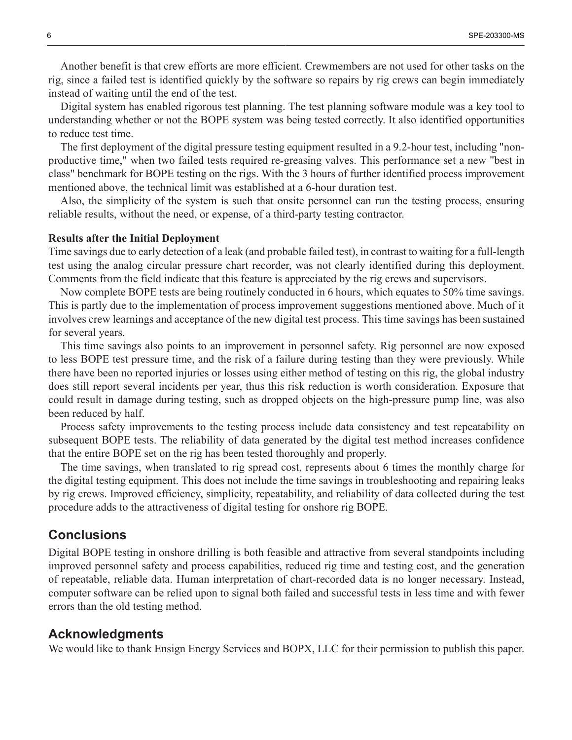Another benefit is that crew efforts are more efficient. Crewmembers are not used for other tasks on the rig, since a failed test is identified quickly by the software so repairs by rig crews can begin immediately instead of waiting until the end of the test.

Digital system has enabled rigorous test planning. The test planning software module was a key tool to understanding whether or not the BOPE system was being tested correctly. It also identified opportunities to reduce test time.

The first deployment of the digital pressure testing equipment resulted in a 9.2-hour test, including "nonproductive time," when two failed tests required re-greasing valves. This performance set a new "best in class" benchmark for BOPE testing on the rigs. With the 3 hours of further identified process improvement mentioned above, the technical limit was established at a 6-hour duration test.

Also, the simplicity of the system is such that onsite personnel can run the testing process, ensuring reliable results, without the need, or expense, of a third-party testing contractor.

#### **Results after the Initial Deployment**

Time savings due to early detection of a leak (and probable failed test), in contrast to waiting for a full-length test using the analog circular pressure chart recorder, was not clearly identified during this deployment. Comments from the field indicate that this feature is appreciated by the rig crews and supervisors.

Now complete BOPE tests are being routinely conducted in 6 hours, which equates to 50% time savings. This is partly due to the implementation of process improvement suggestions mentioned above. Much of it involves crew learnings and acceptance of the new digital test process. This time savings has been sustained for several years.

This time savings also points to an improvement in personnel safety. Rig personnel are now exposed to less BOPE test pressure time, and the risk of a failure during testing than they were previously. While there have been no reported injuries or losses using either method of testing on this rig, the global industry does still report several incidents per year, thus this risk reduction is worth consideration. Exposure that could result in damage during testing, such as dropped objects on the high-pressure pump line, was also been reduced by half.

Process safety improvements to the testing process include data consistency and test repeatability on subsequent BOPE tests. The reliability of data generated by the digital test method increases confidence that the entire BOPE set on the rig has been tested thoroughly and properly.

The time savings, when translated to rig spread cost, represents about 6 times the monthly charge for the digital testing equipment. This does not include the time savings in troubleshooting and repairing leaks by rig crews. Improved efficiency, simplicity, repeatability, and reliability of data collected during the test procedure adds to the attractiveness of digital testing for onshore rig BOPE.

## **Conclusions**

Digital BOPE testing in onshore drilling is both feasible and attractive from several standpoints including improved personnel safety and process capabilities, reduced rig time and testing cost, and the generation of repeatable, reliable data. Human interpretation of chart-recorded data is no longer necessary. Instead, computer software can be relied upon to signal both failed and successful tests in less time and with fewer errors than the old testing method.

#### **Acknowledgments**

We would like to thank Ensign Energy Services and BOPX, LLC for their permission to publish this paper.